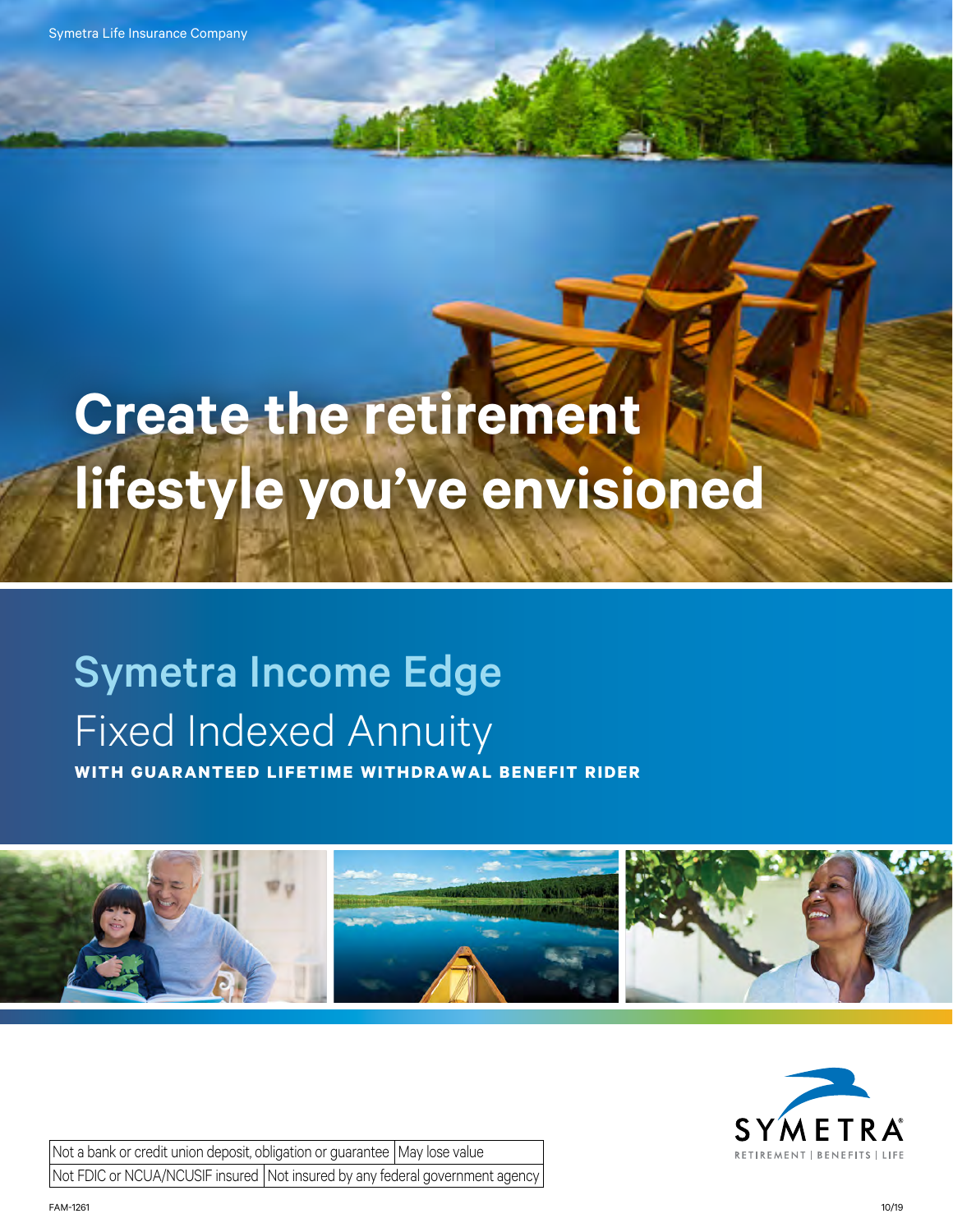Symetra Life Insurance Company

# **Create the retirement lifestyle you've envisioned**

# Symetra Income Edge Fixed Indexed Annuity

**WITH GUARANTEED LIFETIME WITHDRAWAL BENEFIT RIDER**





Not a bank or credit union deposit, obligation or guarantee  $\vert$  May lose value Not FDIC or NCUA/NCUSIF insured Not insured by any federal government agency

FAM-1261 10/19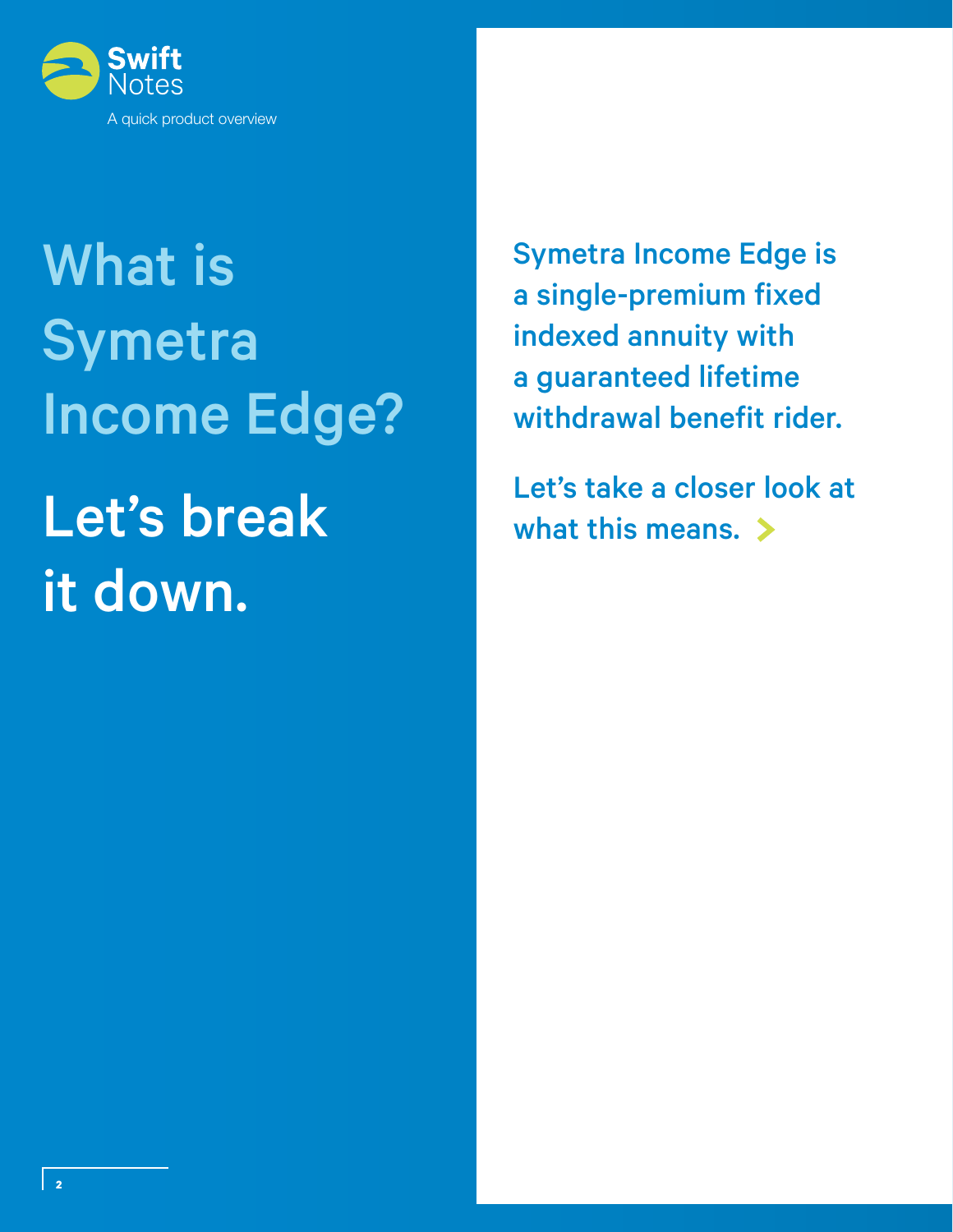

# What is Symetra Income Edge? Let's break it down.

Symetra Income Edge is a single-premium fixed indexed annuity with a guaranteed lifetime withdrawal benefit rider.

Let's take a closer look at what this means.  $\triangleright$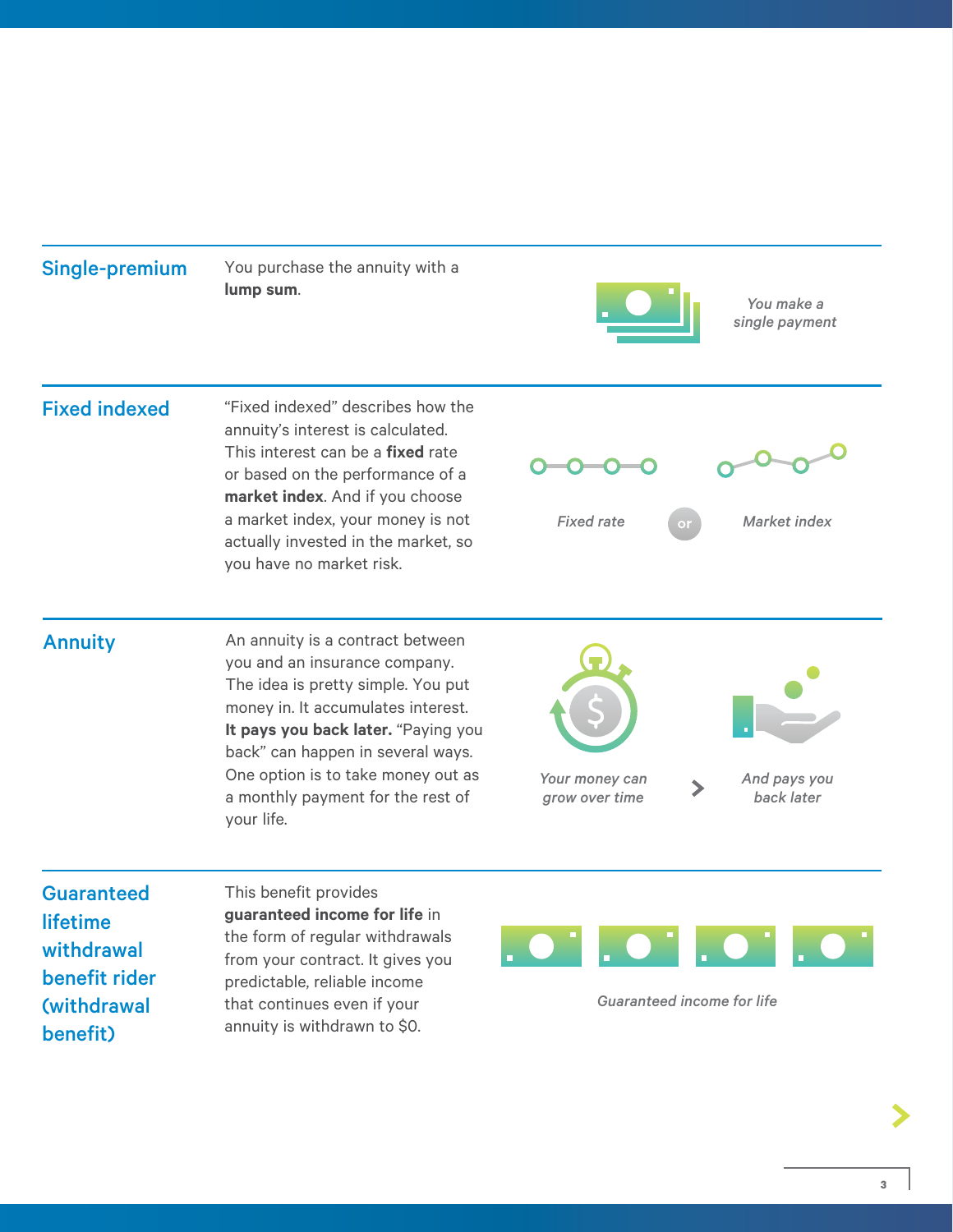Single-premium You purchase the annuity with a **lump sum.** *You make a You make a You make a* 



*single payment*

#### Fixed indexed "Fixed indexed" describes how the

annuity's interest is calculated. This interest can be a **fixed** rate or based on the performance of a **market index**. And if you choose a market index, your money is not actually invested in the market, so you have no market risk.





*Fixed rate Market index*

Annuity **Annuity** An annuity is a contract between you and an insurance company. The idea is pretty simple. You put money in. It accumulates interest. **It pays you back later.** "Paying you back" can happen in several ways. One option is to take money out as a monthly payment for the rest of your life.



*Your money can grow over time*



*And pays you back later*

**Guaranteed** lifetime withdrawal benefit rider (withdrawal benefit)

This benefit provides **guaranteed income for life** in the form of regular withdrawals from your contract. It gives you predictable, reliable income that continues even if your annuity is withdrawn to \$0.



*Guaranteed income for life*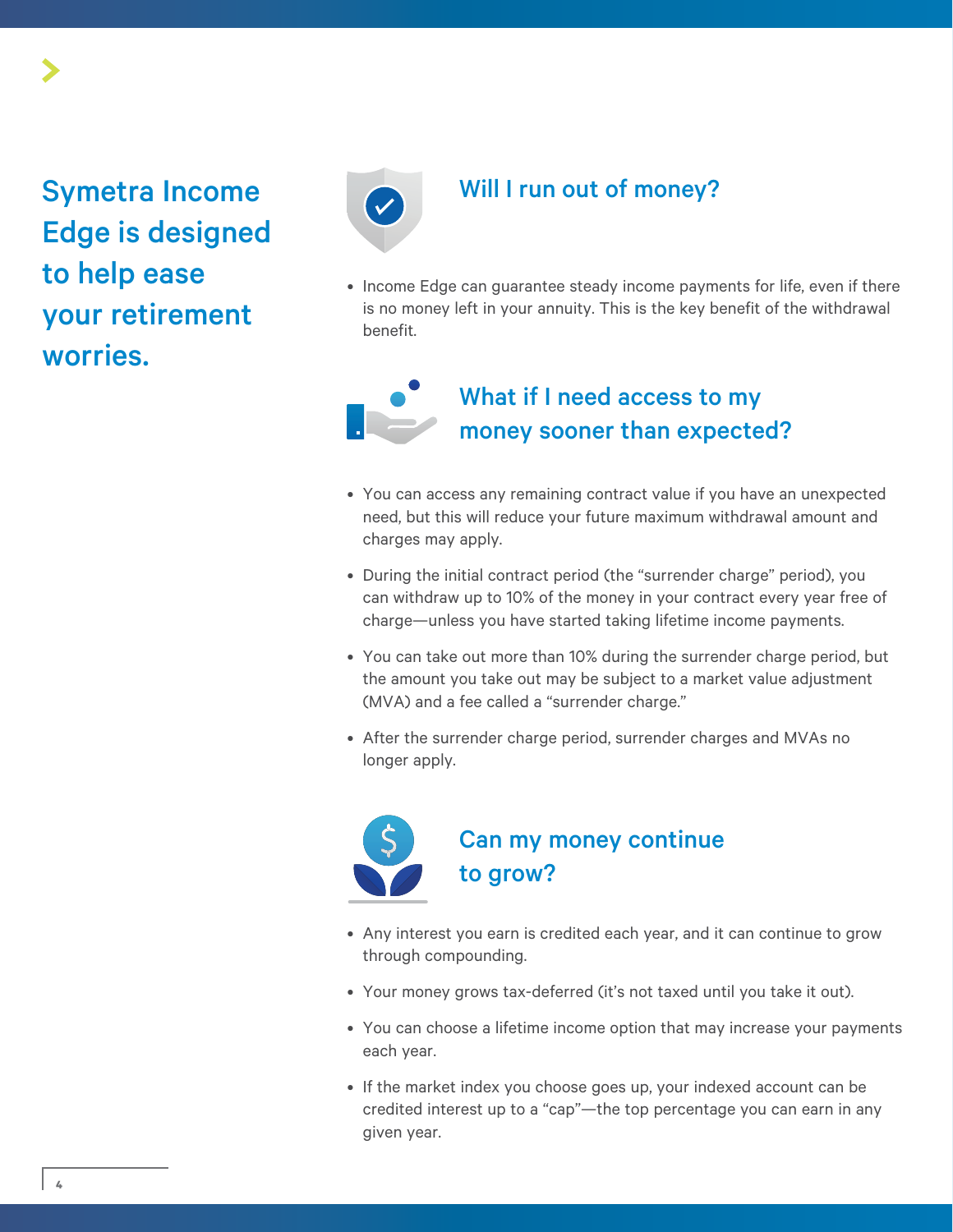## Symetra Income Edge is designed to help ease your retirement worries.



#### Will I run out of money?

• Income Edge can guarantee steady income payments for life, even if there is no money left in your annuity. This is the key benefit of the withdrawal benefit.

### What if I need access to my money sooner than expected?

- You can access any remaining contract value if you have an unexpected need, but this will reduce your future maximum withdrawal amount and charges may apply.
- During the initial contract period (the "surrender charge" period), you can withdraw up to 10% of the money in your contract every year free of charge—unless you have started taking lifetime income payments.
- You can take out more than 10% during the surrender charge period, but the amount you take out may be subject to a market value adjustment (MVA) and a fee called a "surrender charge."
- After the surrender charge period, surrender charges and MVAs no longer apply.



### Can my money continue to grow?

- Any interest you earn is credited each year, and it can continue to grow through compounding.
- Your money grows tax-deferred (it's not taxed until you take it out).
- You can choose a lifetime income option that may increase your payments each year.
- If the market index you choose goes up, your indexed account can be credited interest up to a "cap"—the top percentage you can earn in any given year.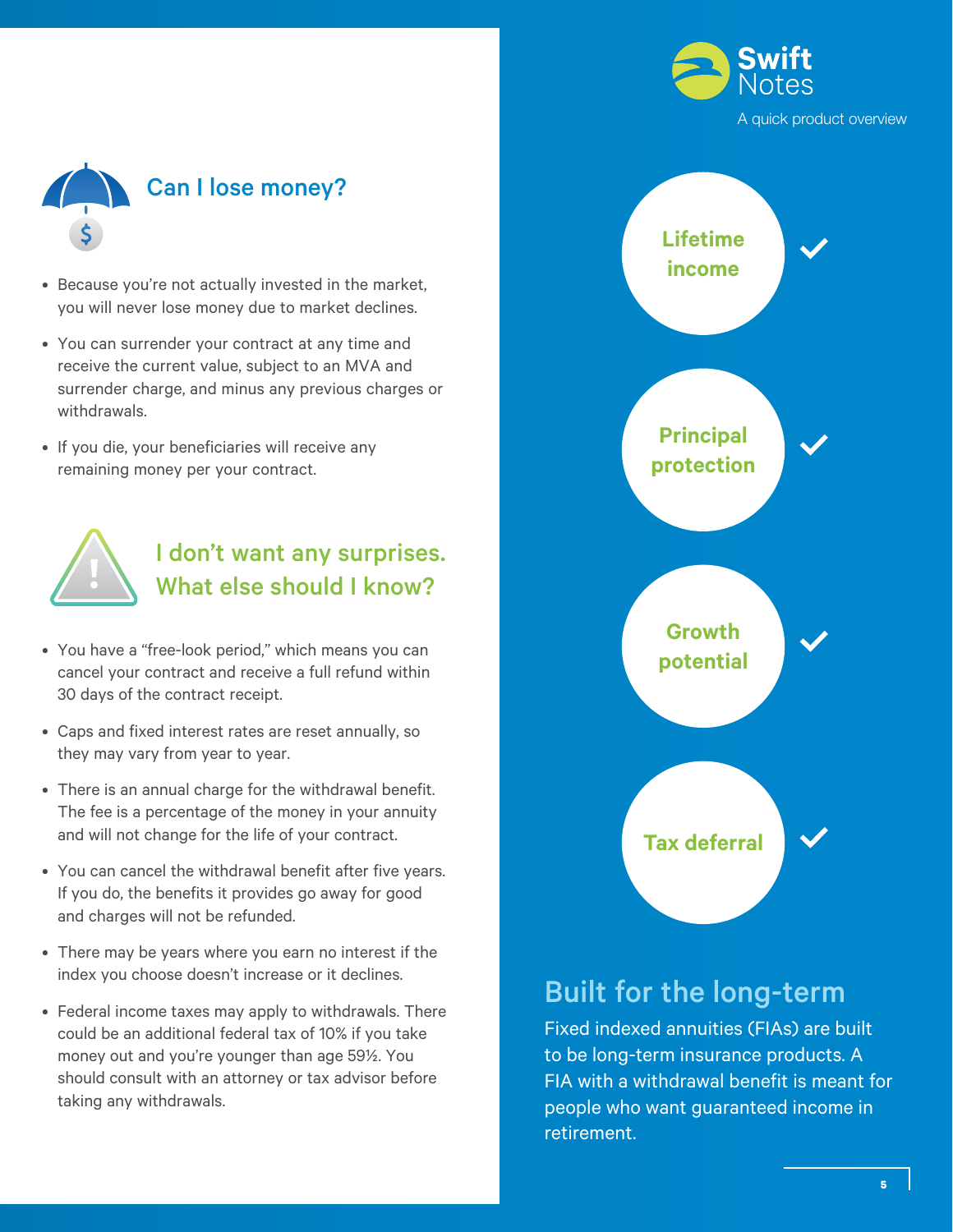



- Because you're not actually invested in the market, you will never lose money due to market declines.
- You can surrender your contract at any time and receive the current value, subject to an MVA and surrender charge, and minus any previous charges or withdrawals.
- If you die, your beneficiaries will receive any remaining money per your contract.



### I don't want any surprises. What else should I know?

- You have a "free-look period," which means you can cancel your contract and receive a full refund within 30 days of the contract receipt.
- Caps and fixed interest rates are reset annually, so they may vary from year to year.
- There is an annual charge for the withdrawal benefit. The fee is a percentage of the money in your annuity and will not change for the life of your contract.
- You can cancel the withdrawal benefit after five years. If you do, the benefits it provides go away for good and charges will not be refunded.
- There may be years where you earn no interest if the index you choose doesn't increase or it declines.
- Federal income taxes may apply to withdrawals. There could be an additional federal tax of 10% if you take money out and you're younger than age 59½. You should consult with an attorney or tax advisor before taking any withdrawals.



### Built for the long-term

Fixed indexed annuities (FIAs) are built to be long-term insurance products. A FIA with a withdrawal benefit is meant for people who want guaranteed income in retirement.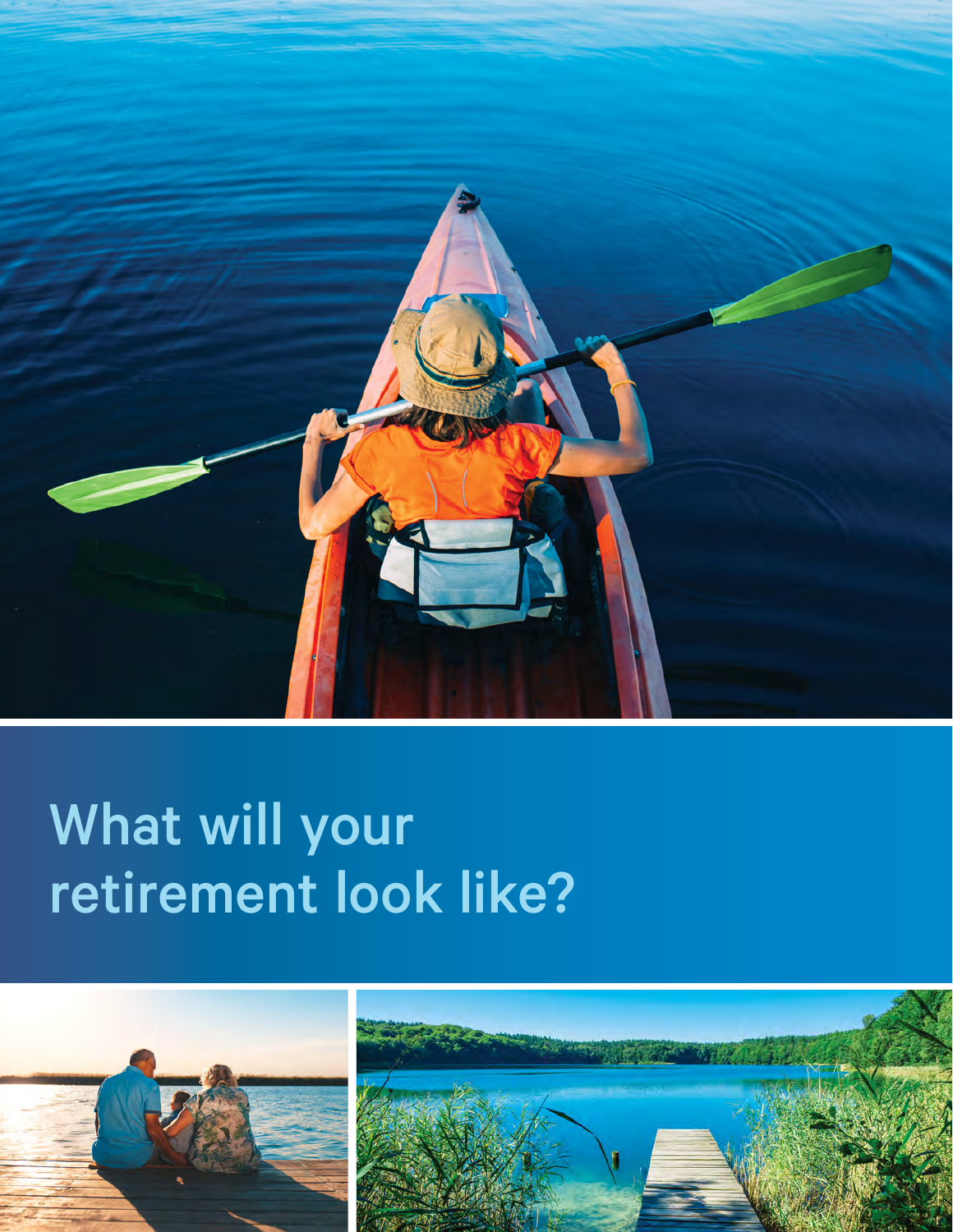

# What will your retirement look like?

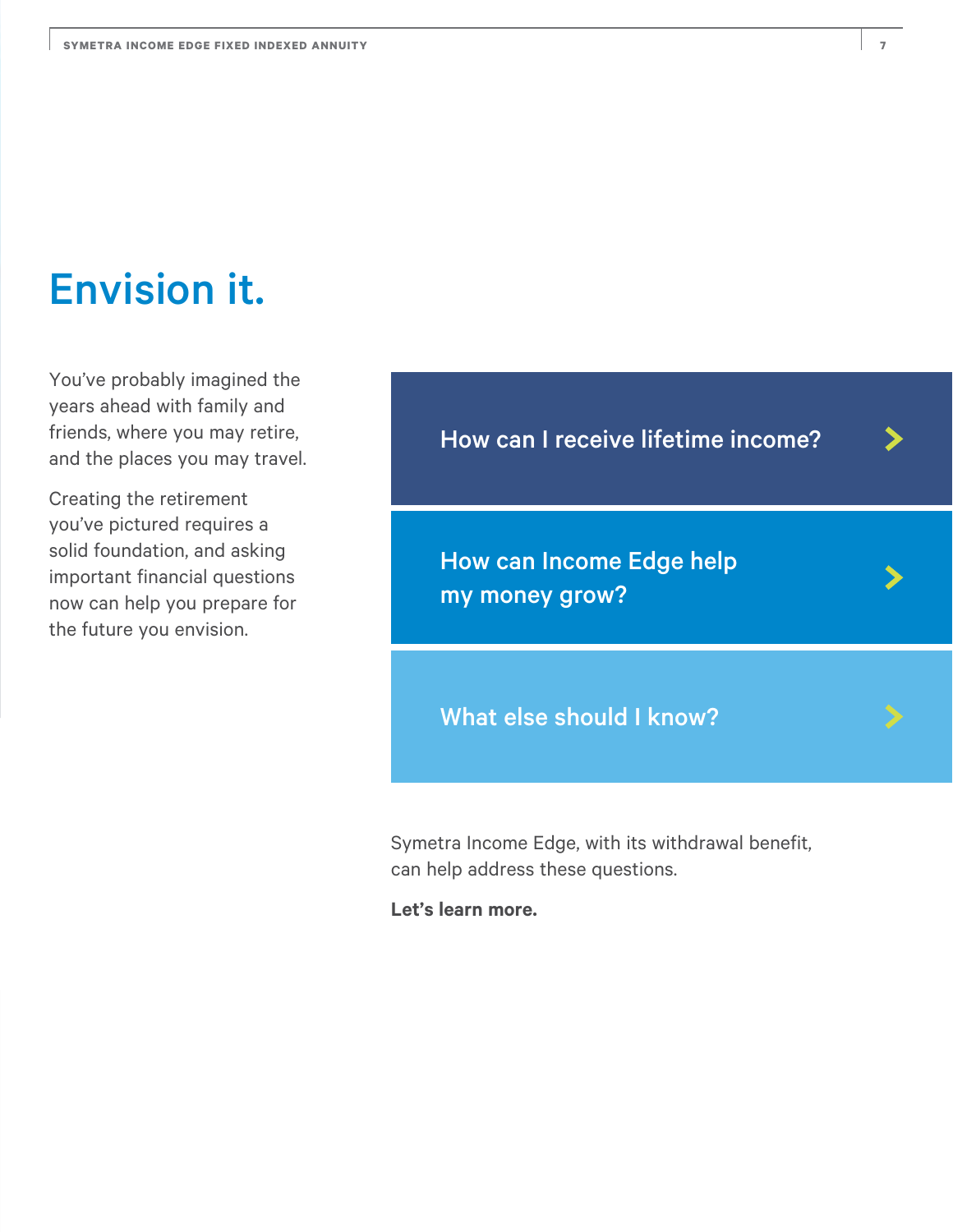# Envision it.

You've probably imagined the years ahead with family and friends, where you may retire, and the places you may travel.

Creating the retirement you've pictured requires a solid foundation, and asking important financial questions now can help you prepare for the future you envision.

How can I receive lifetime income?

How can Income Edge help my money grow?

What else should I know?

Symetra Income Edge, with its withdrawal benefit, can help address these questions.

**Let's learn more.**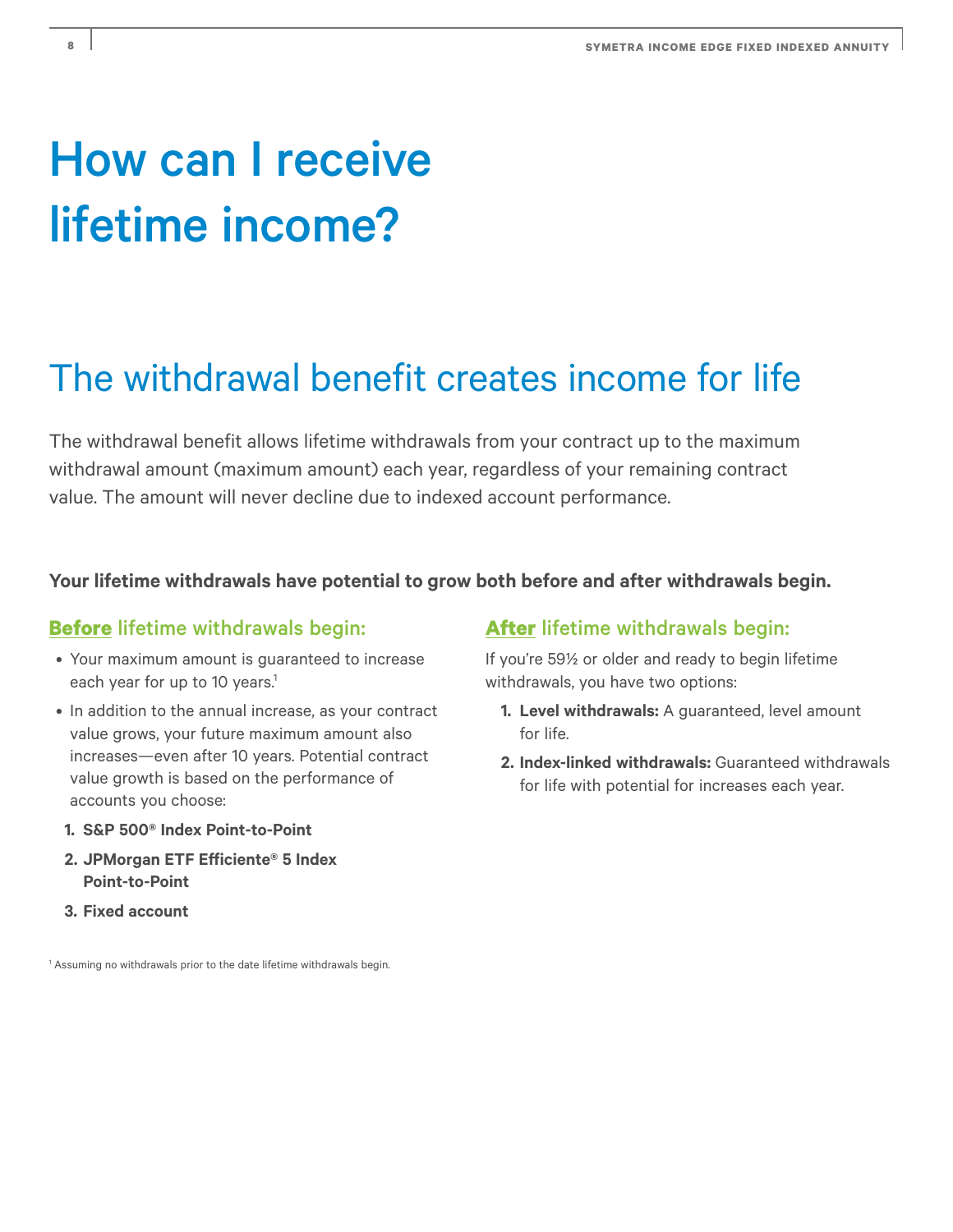# How can I receive lifetime income?

# The withdrawal benefit creates income for life

The withdrawal benefit allows lifetime withdrawals from your contract up to the maximum withdrawal amount (maximum amount) each year, regardless of your remaining contract value. The amount will never decline due to indexed account performance.

#### **Your lifetime withdrawals have potential to grow both before and after withdrawals begin.**

#### **Before** lifetime withdrawals begin:

- Your maximum amount is guaranteed to increase each year for up to 10 years.<sup>1</sup>
- In addition to the annual increase, as your contract value grows, your future maximum amount also increases—even after 10 years. Potential contract value growth is based on the performance of accounts you choose:
- **1. S&P 500® Index Point-to-Point**
- **2. JPMorgan ETF Efficiente® 5 Index Point-to-Point**
- **3. Fixed account**

<sup>1</sup> Assuming no withdrawals prior to the date lifetime withdrawals begin.

#### **After** lifetime withdrawals begin:

If you're 59½ or older and ready to begin lifetime withdrawals, you have two options:

- **1. Level withdrawals:** A guaranteed, level amount for life.
- **2. Index-linked withdrawals:** Guaranteed withdrawals for life with potential for increases each year.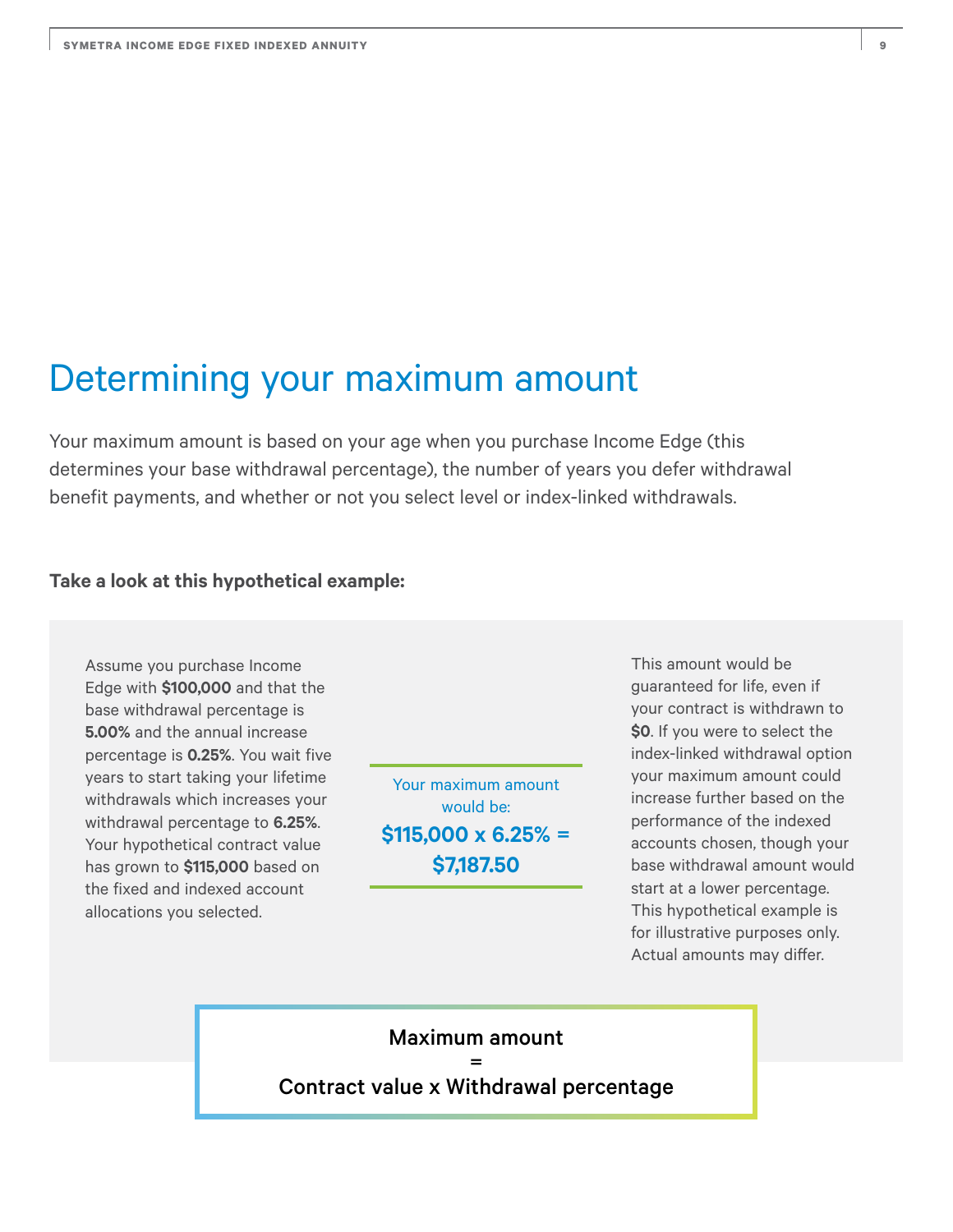## Determining your maximum amount

Your maximum amount is based on your age when you purchase Income Edge (this determines your base withdrawal percentage), the number of years you defer withdrawal benefit payments, and whether or not you select level or index-linked withdrawals.

#### **Take a look at this hypothetical example:**

Assume you purchase Income Edge with **\$100,000** and that the base withdrawal percentage is **5.00%** and the annual increase percentage is **0.25%**. You wait five years to start taking your lifetime withdrawals which increases your withdrawal percentage to **6.25%**. Your hypothetical contract value has grown to **\$115,000** based on the fixed and indexed account allocations you selected.

Your maximum amount would be: **\$115,000 x 6.25% = \$7,187.50**

This amount would be guaranteed for life, even if your contract is withdrawn to **\$0**. If you were to select the index-linked withdrawal option your maximum amount could increase further based on the performance of the indexed accounts chosen, though your base withdrawal amount would start at a lower percentage. This hypothetical example is for illustrative purposes only. Actual amounts may differ.

#### Maximum amount  $=$

Contract value x Withdrawal percentage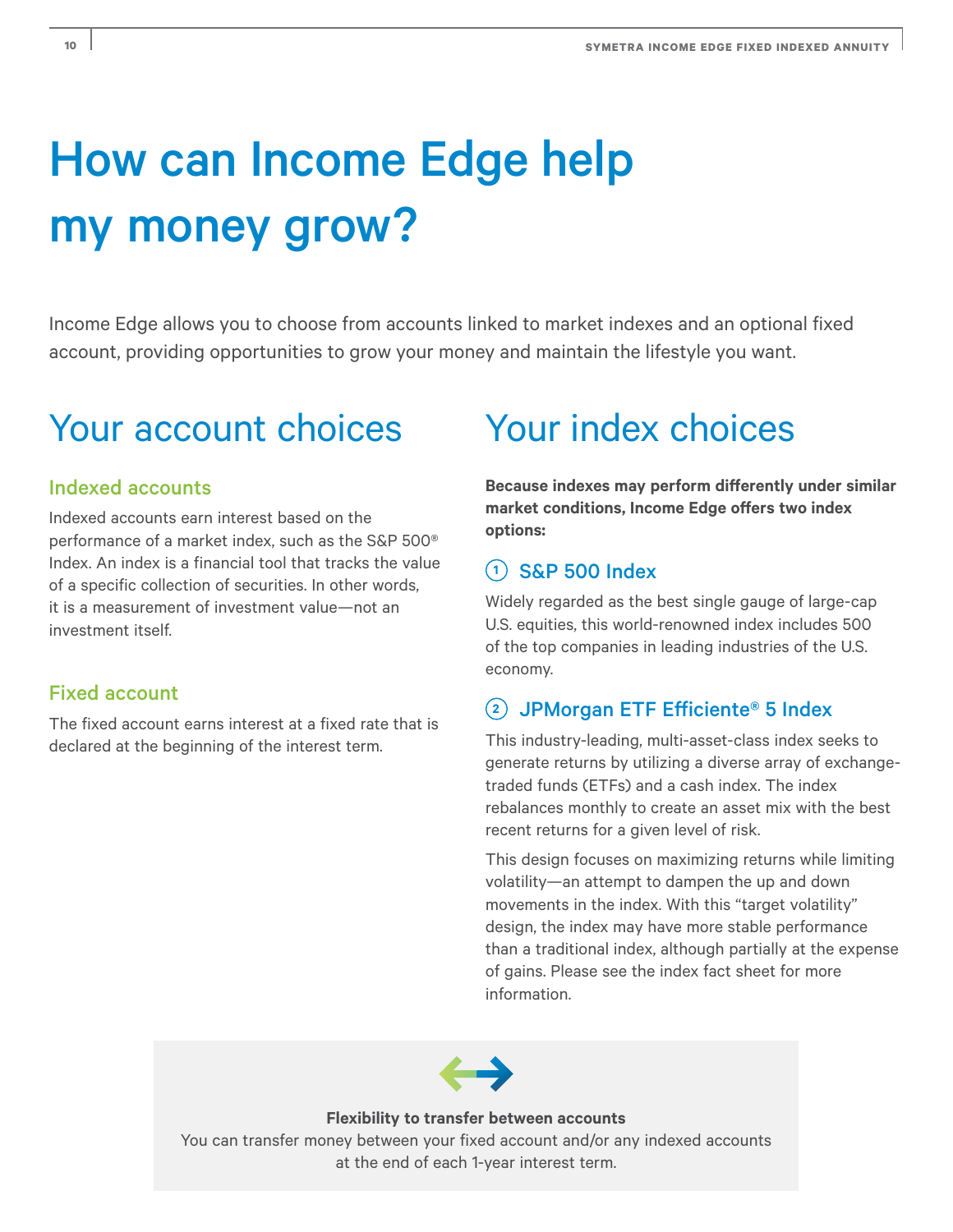# How can Income Edge help my money grow?

Income Edge allows you to choose from accounts linked to market indexes and an optional fixed account, providing opportunities to grow your money and maintain the lifestyle you want.

# Your account choices Your index choices

#### Indexed accounts

Indexed accounts earn interest based on the performance of a market index, such as the S&P 500® Index. An index is a financial tool that tracks the value of a specific collection of securities. In other words, it is a measurement of investment value—not an investment itself.

#### Fixed account

The fixed account earns interest at a fixed rate that is declared at the beginning of the interest term.

**Because indexes may perform differently under similar market conditions, Income Edge offers two index options:** 

#### **<sup>1</sup>** S&P 500 Index

Widely regarded as the best single gauge of large-cap U.S. equities, this world-renowned index includes 500 of the top companies in leading industries of the U.S. economy.

#### **<sup>2</sup>** JPMorgan ETF Efficiente® 5 Index

This industry-leading, multi-asset-class index seeks to generate returns by utilizing a diverse array of exchangetraded funds (ETFs) and a cash index. The index rebalances monthly to create an asset mix with the best recent returns for a given level of risk.

This design focuses on maximizing returns while limiting volatility—an attempt to dampen the up and down movements in the index. With this "target volatility" design, the index may have more stable performance than a traditional index, although partially at the expense of gains. Please see the index fact sheet for more information.



**Flexibility to transfer between accounts** 

You can transfer money between your fixed account and/or any indexed accounts at the end of each 1-year interest term.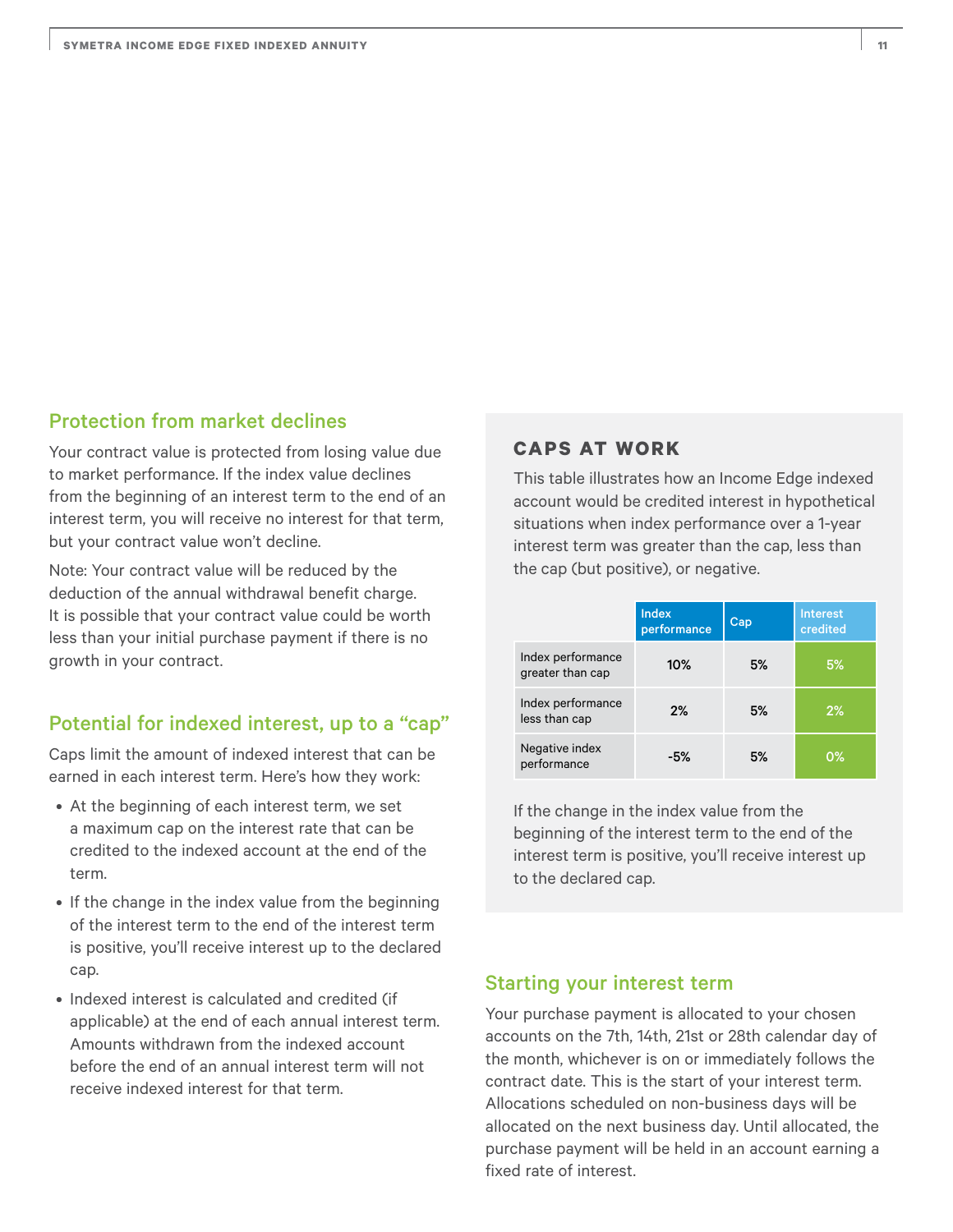#### Protection from market declines

Your contract value is protected from losing value due to market performance. If the index value declines from the beginning of an interest term to the end of an interest term, you will receive no interest for that term, but your contract value won't decline.

Note: Your contract value will be reduced by the deduction of the annual withdrawal benefit charge. It is possible that your contract value could be worth less than your initial purchase payment if there is no growth in your contract.

#### Potential for indexed interest, up to a "cap"

Caps limit the amount of indexed interest that can be earned in each interest term. Here's how they work:

- At the beginning of each interest term, we set a maximum cap on the interest rate that can be credited to the indexed account at the end of the term.
- If the change in the index value from the beginning of the interest term to the end of the interest term is positive, you'll receive interest up to the declared cap.
- Indexed interest is calculated and credited (if applicable) at the end of each annual interest term. Amounts withdrawn from the indexed account before the end of an annual interest term will not receive indexed interest for that term.

#### **CAPS AT WORK**

This table illustrates how an Income Edge indexed account would be credited interest in hypothetical situations when index performance over a 1-year interest term was greater than the cap, less than the cap (but positive), or negative.

|                                       | <b>Index</b><br>performance | Cap | <b>Interest</b><br>credited |
|---------------------------------------|-----------------------------|-----|-----------------------------|
| Index performance<br>greater than cap | 10%                         | 5%  | 5%                          |
| Index performance<br>less than cap    | 2%                          | 5%  | 2%                          |
| Negative index<br>performance         | -5%                         | 5%  | 0%                          |

If the change in the index value from the beginning of the interest term to the end of the interest term is positive, you'll receive interest up to the declared cap.

#### Starting your interest term

Your purchase payment is allocated to your chosen accounts on the 7th, 14th, 21st or 28th calendar day of the month, whichever is on or immediately follows the contract date. This is the start of your interest term. Allocations scheduled on non-business days will be allocated on the next business day. Until allocated, the purchase payment will be held in an account earning a fixed rate of interest.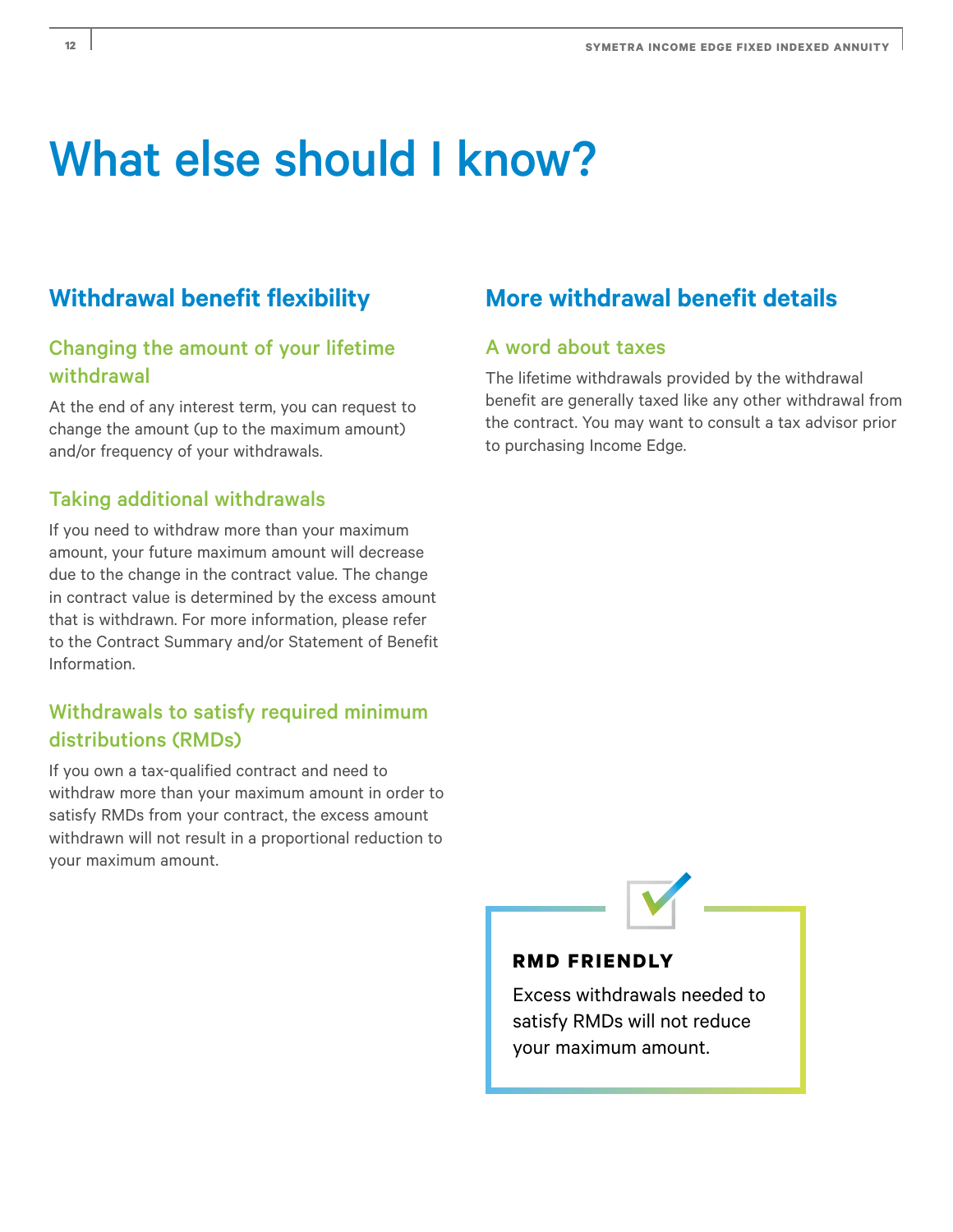# What else should I know?

#### Changing the amount of your lifetime withdrawal

At the end of any interest term, you can request to change the amount (up to the maximum amount) and/or frequency of your withdrawals.

#### Taking additional withdrawals

If you need to withdraw more than your maximum amount, your future maximum amount will decrease due to the change in the contract value. The change in contract value is determined by the excess amount that is withdrawn. For more information, please refer to the Contract Summary and/or Statement of Benefit Information.

#### Withdrawals to satisfy required minimum distributions (RMDs)

If you own a tax-qualified contract and need to withdraw more than your maximum amount in order to satisfy RMDs from your contract, the excess amount withdrawn will not result in a proportional reduction to your maximum amount.

### Withdrawal benefit flexibility **More withdrawal benefit details**

#### A word about taxes

The lifetime withdrawals provided by the withdrawal benefit are generally taxed like any other withdrawal from the contract. You may want to consult a tax advisor prior to purchasing Income Edge.



#### **RMD FRIENDLY**

Excess withdrawals needed to satisfy RMDs will not reduce your maximum amount.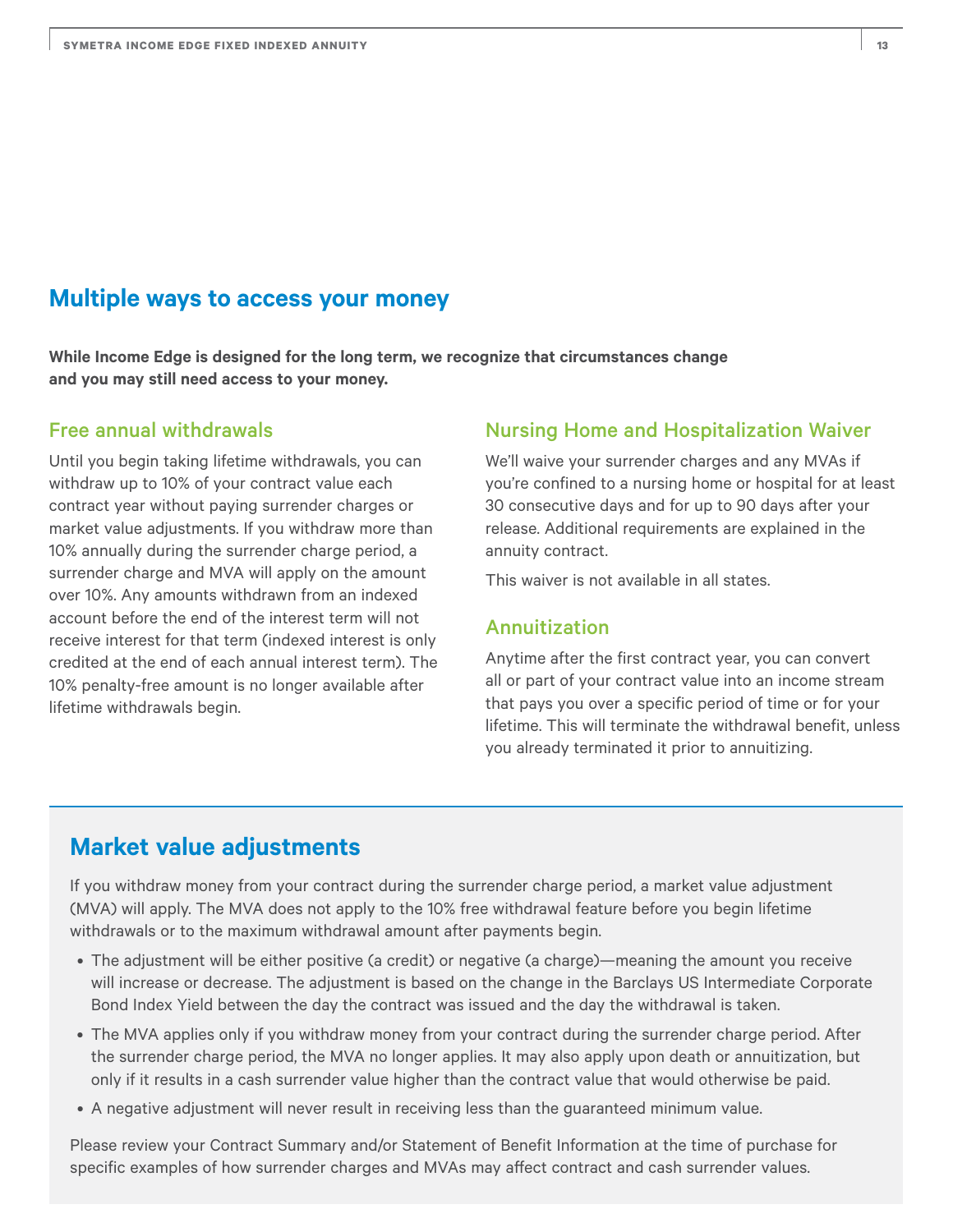#### **Multiple ways to access your money**

**While Income Edge is designed for the long term, we recognize that circumstances change and you may still need access to your money.** 

#### Free annual withdrawals

Until you begin taking lifetime withdrawals, you can withdraw up to 10% of your contract value each contract year without paying surrender charges or market value adjustments. If you withdraw more than 10% annually during the surrender charge period, a surrender charge and MVA will apply on the amount over 10%. Any amounts withdrawn from an indexed account before the end of the interest term will not receive interest for that term (indexed interest is only credited at the end of each annual interest term). The 10% penalty-free amount is no longer available after lifetime withdrawals begin.

#### Nursing Home and Hospitalization Waiver

We'll waive your surrender charges and any MVAs if you're confined to a nursing home or hospital for at least 30 consecutive days and for up to 90 days after your release. Additional requirements are explained in the annuity contract.

This waiver is not available in all states.

#### Annuitization

Anytime after the first contract year, you can convert all or part of your contract value into an income stream that pays you over a specific period of time or for your lifetime. This will terminate the withdrawal benefit, unless you already terminated it prior to annuitizing.

### **Market value adjustments**

If you withdraw money from your contract during the surrender charge period, a market value adjustment (MVA) will apply. The MVA does not apply to the 10% free withdrawal feature before you begin lifetime withdrawals or to the maximum withdrawal amount after payments begin.

- The adjustment will be either positive (a credit) or negative (a charge)—meaning the amount you receive will increase or decrease. The adjustment is based on the change in the Barclays US Intermediate Corporate Bond Index Yield between the day the contract was issued and the day the withdrawal is taken.
- The MVA applies only if you withdraw money from your contract during the surrender charge period. After the surrender charge period, the MVA no longer applies. It may also apply upon death or annuitization, but only if it results in a cash surrender value higher than the contract value that would otherwise be paid.
- A negative adjustment will never result in receiving less than the guaranteed minimum value.

Please review your Contract Summary and/or Statement of Benefit Information at the time of purchase for specific examples of how surrender charges and MVAs may affect contract and cash surrender values.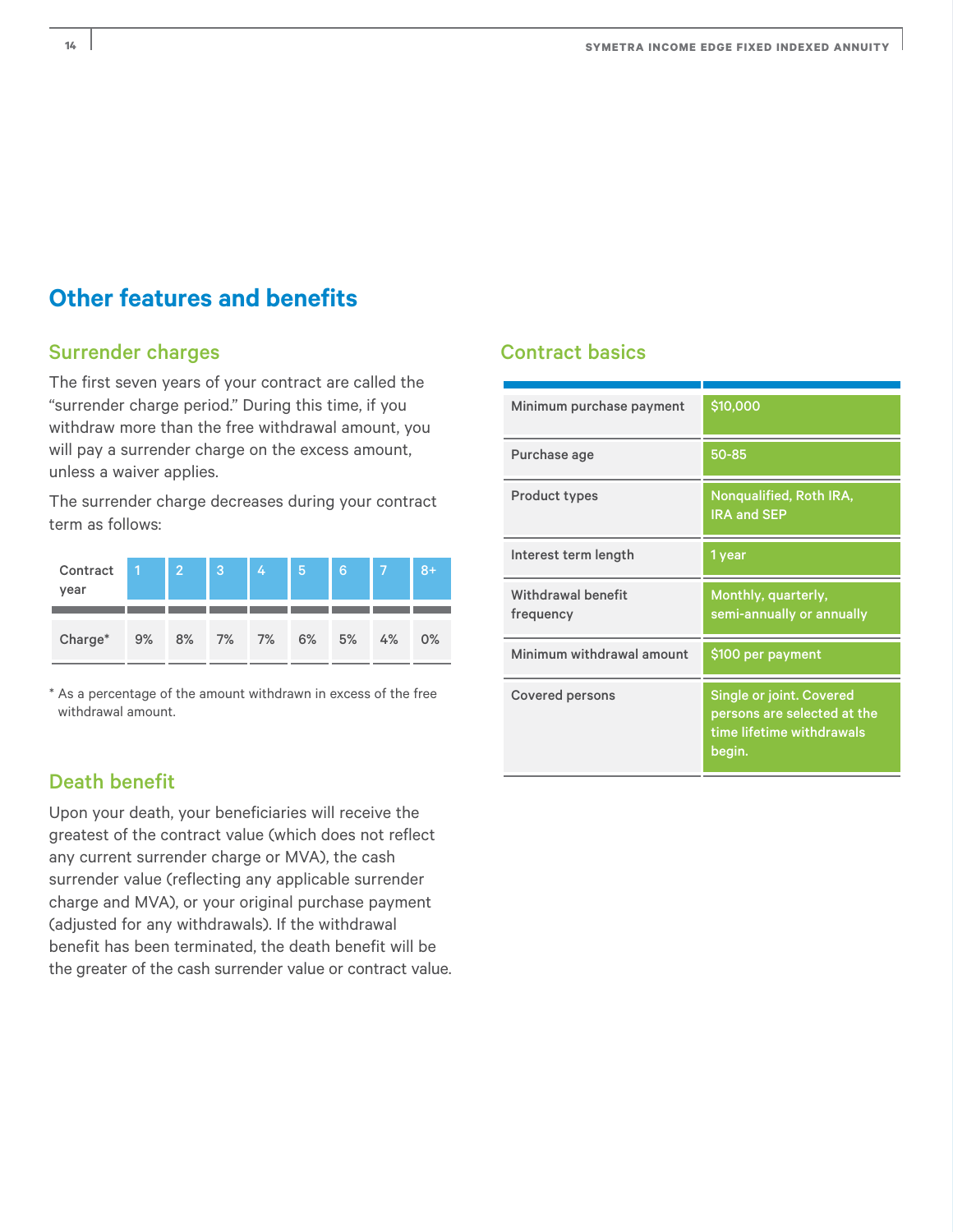### **Other features and benefits**

#### Surrender charges

The first seven years of your contract are called the "surrender charge period." During this time, if you withdraw more than the free withdrawal amount, you will pay a surrender charge on the excess amount, unless a waiver applies.

The surrender charge decreases during your contract term as follows:

| Contract<br>year | A  | $\overline{2}$ | 3        | 4. | 5. | 6  |    | $8+$ |
|------------------|----|----------------|----------|----|----|----|----|------|
| Charge*          | 9% |                | 8% 7% 7% |    | 6% | 5% | 4% | 0%   |

\* As a percentage of the amount withdrawn in excess of the free withdrawal amount.

#### Death benefit

Upon your death, your beneficiaries will receive the greatest of the contract value (which does not reflect any current surrender charge or MVA), the cash surrender value (reflecting any applicable surrender charge and MVA), or your original purchase payment (adjusted for any withdrawals). If the withdrawal benefit has been terminated, the death benefit will be the greater of the cash surrender value or contract value.

#### Contract basics

| Minimum purchase payment        | \$10,000                                                                                       |
|---------------------------------|------------------------------------------------------------------------------------------------|
| Purchase age                    | 50-85                                                                                          |
| <b>Product types</b>            | Nonqualified, Roth IRA,<br><b>IRA and SEP</b>                                                  |
| Interest term length            | 1 year                                                                                         |
| Withdrawal benefit<br>frequency | Monthly, quarterly,<br>semi-annually or annually                                               |
| Minimum withdrawal amount       | \$100 per payment                                                                              |
| <b>Covered persons</b>          | Single or joint. Covered<br>persons are selected at the<br>time lifetime withdrawals<br>begin. |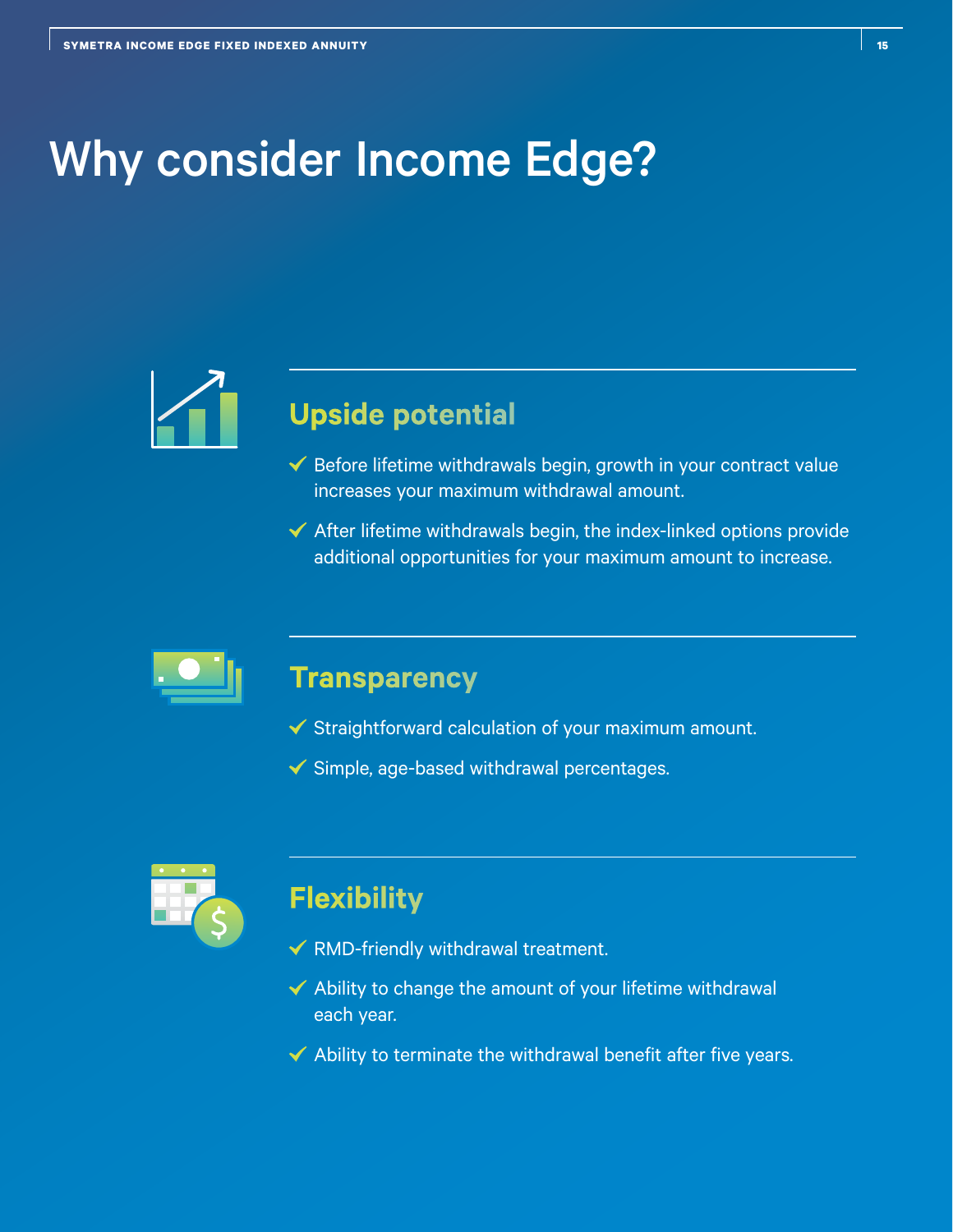# Why consider Income Edge?



## **Upside potential**

- $\checkmark$  Before lifetime withdrawals begin, growth in your contract value increases your maximum withdrawal amount.
- $\blacktriangleright$  After lifetime withdrawals begin, the index-linked options provide additional opportunities for your maximum amount to increase.



### **Transparency**

- $\checkmark$  Straightforward calculation of your maximum amount.
- $\checkmark$  Simple, age-based withdrawal percentages.



### **Flexibility**

- $\checkmark$  RMD-friendly withdrawal treatment.
- $\blacktriangleright$  Ability to change the amount of your lifetime withdrawal each year.
- $\blacktriangleright$  Ability to terminate the withdrawal benefit after five years.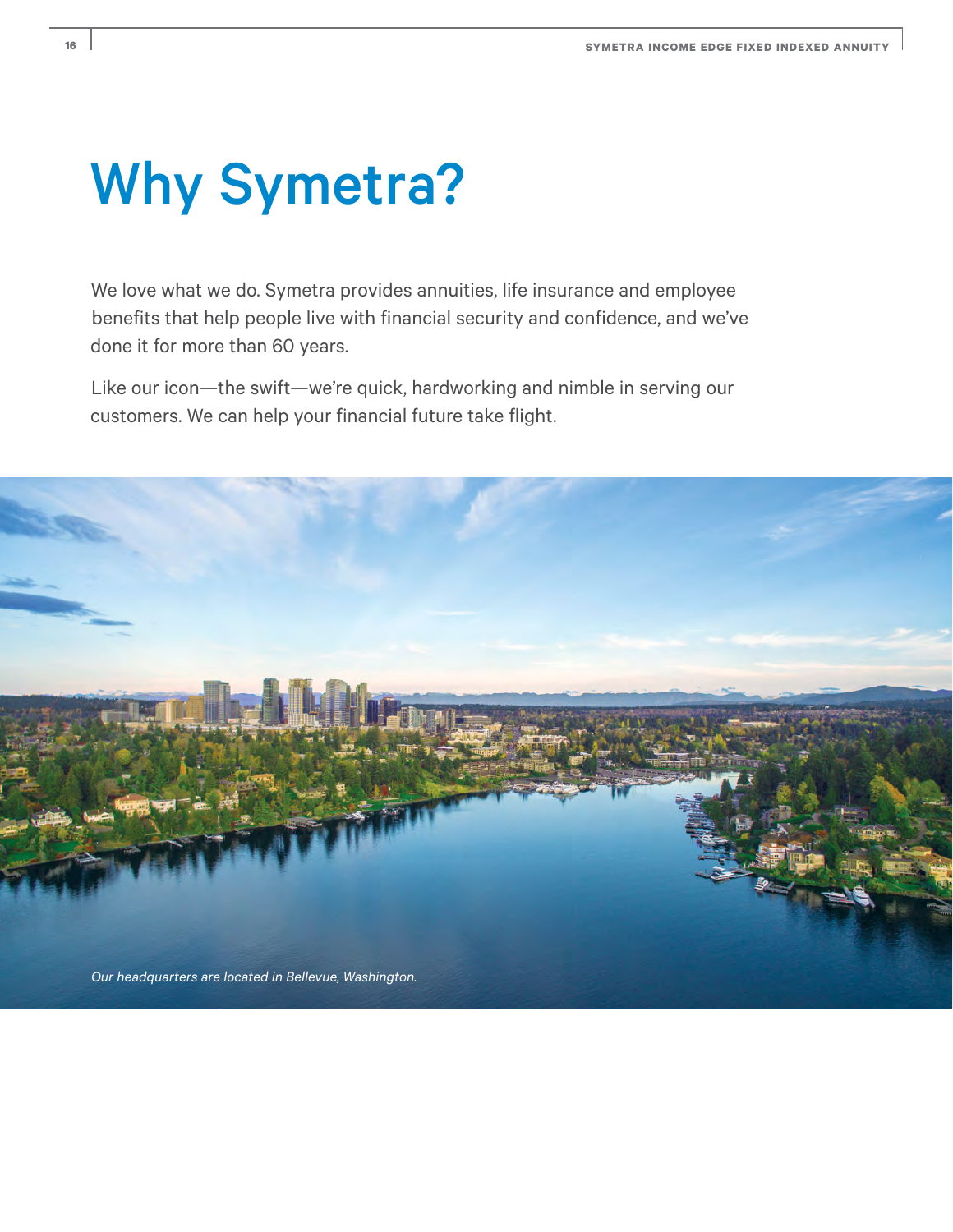# Why Symetra?

We love what we do. Symetra provides annuities, life insurance and employee benefits that help people live with financial security and confidence, and we've done it for more than 60 years.

Like our icon—the swift—we're quick, hardworking and nimble in serving our customers. We can help your financial future take flight.

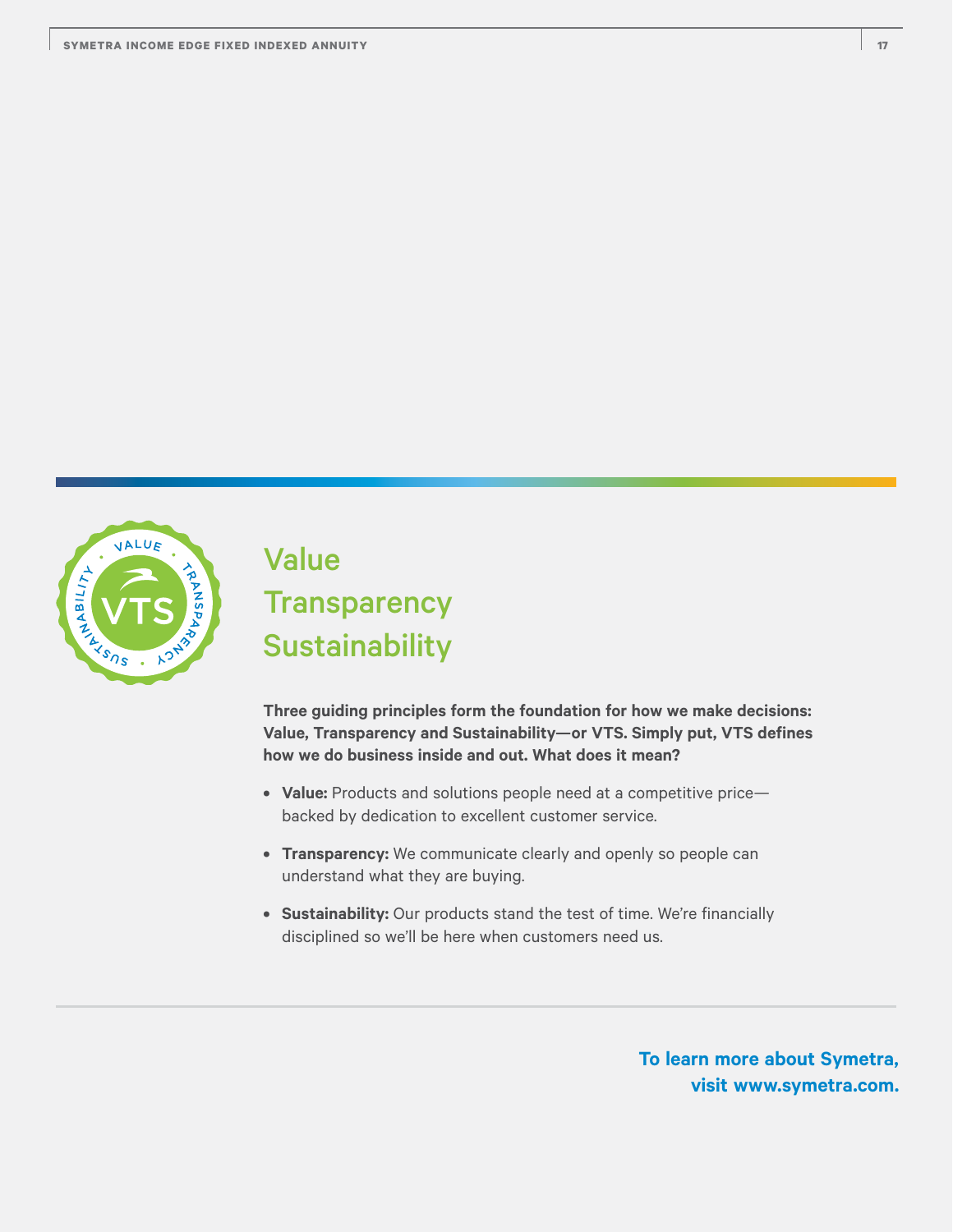

## Value **Transparency Sustainability**

**Three guiding principles form the foundation for how we make decisions: Value, Transparency and Sustainability—or VTS. Simply put, VTS defines how we do business inside and out. What does it mean?**

- **Value:** Products and solutions people need at a competitive price backed by dedication to excellent customer service.
- **Transparency:** We communicate clearly and openly so people can understand what they are buying.
- **Sustainability:** Our products stand the test of time. We're financially disciplined so we'll be here when customers need us.

**To learn more about Symetra, visit www.symetra.com.**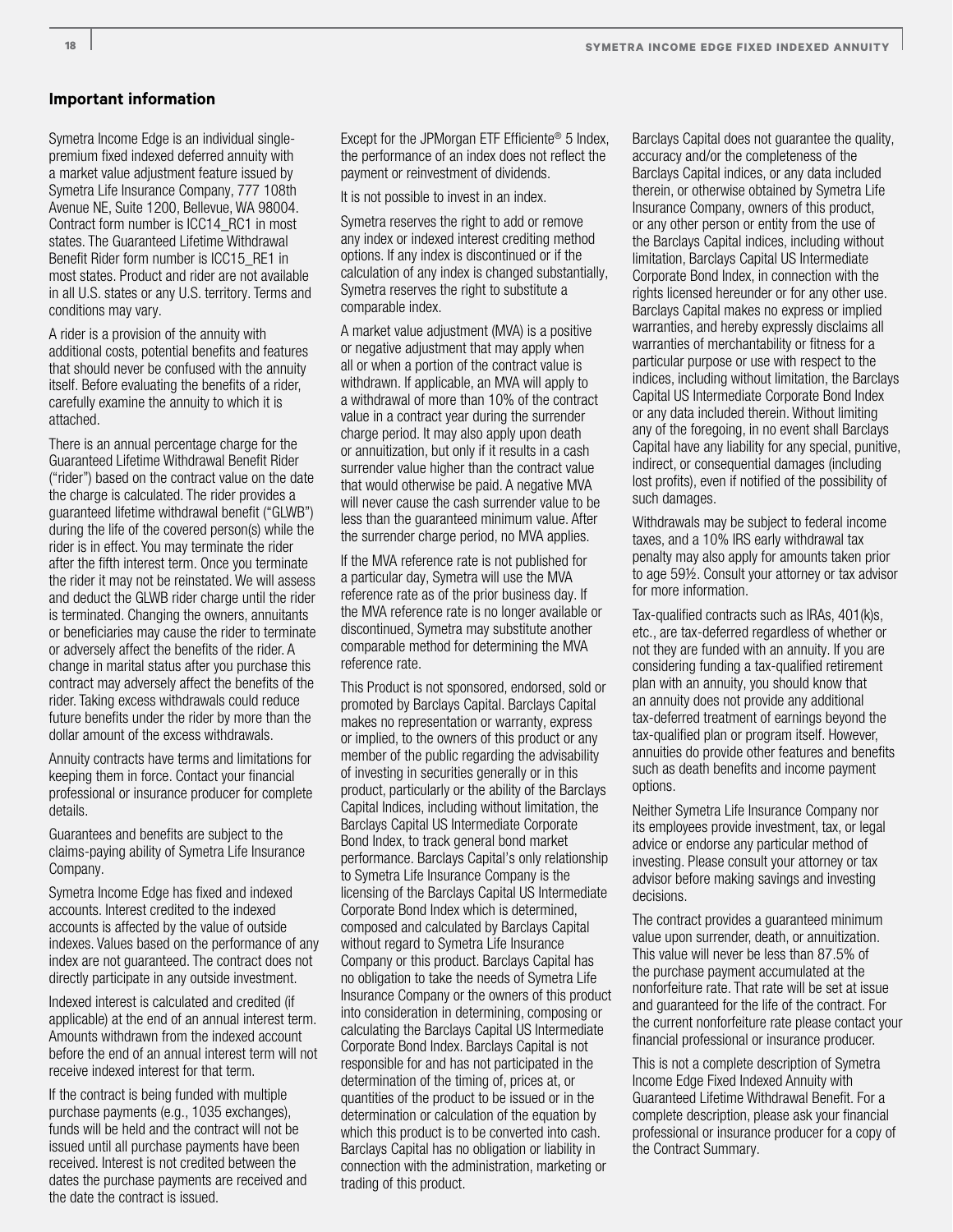#### **Important information**

Symetra Income Edge is an individual singlepremium fixed indexed deferred annuity with a market value adjustment feature issued by Symetra Life Insurance Company, 777 108th Avenue NE, Suite 1200, Bellevue, WA 98004. Contract form number is ICC14\_RC1 in most states. The Guaranteed Lifetime Withdrawal Benefit Rider form number is ICC15\_RE1 in most states. Product and rider are not available in all U.S. states or any U.S. territory. Terms and conditions may vary.

A rider is a provision of the annuity with additional costs, potential benefits and features that should never be confused with the annuity itself. Before evaluating the benefits of a rider, carefully examine the annuity to which it is attached.

There is an annual percentage charge for the Guaranteed Lifetime Withdrawal Benefit Rider ("rider") based on the contract value on the date the charge is calculated. The rider provides a guaranteed lifetime withdrawal benefit ("GLWB") during the life of the covered person(s) while the rider is in effect. You may terminate the rider after the fifth interest term. Once you terminate the rider it may not be reinstated. We will assess and deduct the GLWB rider charge until the rider is terminated. Changing the owners, annuitants or beneficiaries may cause the rider to terminate or adversely affect the benefits of the rider. A change in marital status after you purchase this contract may adversely affect the benefits of the rider. Taking excess withdrawals could reduce future benefits under the rider by more than the dollar amount of the excess withdrawals.

Annuity contracts have terms and limitations for keeping them in force. Contact your financial professional or insurance producer for complete details.

Guarantees and benefits are subject to the claims-paying ability of Symetra Life Insurance Company.

Symetra Income Edge has fixed and indexed accounts. Interest credited to the indexed accounts is affected by the value of outside indexes. Values based on the performance of any index are not guaranteed. The contract does not directly participate in any outside investment.

Indexed interest is calculated and credited (if applicable) at the end of an annual interest term. Amounts withdrawn from the indexed account before the end of an annual interest term will not receive indexed interest for that term.

If the contract is being funded with multiple purchase payments (e.g., 1035 exchanges), funds will be held and the contract will not be issued until all purchase payments have been received. Interest is not credited between the dates the purchase payments are received and the date the contract is issued.

Except for the JPMorgan ETF Efficiente<sup>®</sup> 5 Index, the performance of an index does not reflect the payment or reinvestment of dividends.

It is not possible to invest in an index.

Symetra reserves the right to add or remove any index or indexed interest crediting method options. If any index is discontinued or if the calculation of any index is changed substantially, Symetra reserves the right to substitute a comparable index.

A market value adjustment (MVA) is a positive or negative adjustment that may apply when all or when a portion of the contract value is withdrawn. If applicable, an MVA will apply to a withdrawal of more than 10% of the contract value in a contract year during the surrender charge period. It may also apply upon death or annuitization, but only if it results in a cash surrender value higher than the contract value that would otherwise be paid. A negative MVA will never cause the cash surrender value to be less than the guaranteed minimum value. After the surrender charge period, no MVA applies.

If the MVA reference rate is not published for a particular day, Symetra will use the MVA reference rate as of the prior business day. If the MVA reference rate is no longer available or discontinued, Symetra may substitute another comparable method for determining the MVA reference rate.

This Product is not sponsored, endorsed, sold or promoted by Barclays Capital. Barclays Capital makes no representation or warranty, express or implied, to the owners of this product or any member of the public regarding the advisability of investing in securities generally or in this product, particularly or the ability of the Barclays Capital Indices, including without limitation, the Barclays Capital US Intermediate Corporate Bond Index, to track general bond market performance. Barclays Capital's only relationship to Symetra Life Insurance Company is the licensing of the Barclays Capital US Intermediate Corporate Bond Index which is determined, composed and calculated by Barclays Capital without regard to Symetra Life Insurance Company or this product. Barclays Capital has no obligation to take the needs of Symetra Life Insurance Company or the owners of this product into consideration in determining, composing or calculating the Barclays Capital US Intermediate Corporate Bond Index. Barclays Capital is not responsible for and has not participated in the determination of the timing of, prices at, or quantities of the product to be issued or in the determination or calculation of the equation by which this product is to be converted into cash. Barclays Capital has no obligation or liability in connection with the administration, marketing or trading of this product.

Barclays Capital does not guarantee the quality, accuracy and/or the completeness of the Barclays Capital indices, or any data included therein, or otherwise obtained by Symetra Life Insurance Company, owners of this product, or any other person or entity from the use of the Barclays Capital indices, including without limitation, Barclays Capital US Intermediate Corporate Bond Index, in connection with the rights licensed hereunder or for any other use. Barclays Capital makes no express or implied warranties, and hereby expressly disclaims all warranties of merchantability or fitness for a particular purpose or use with respect to the indices, including without limitation, the Barclays Capital US Intermediate Corporate Bond Index or any data included therein. Without limiting any of the foregoing, in no event shall Barclays Capital have any liability for any special, punitive, indirect, or consequential damages (including lost profits), even if notified of the possibility of such damages.

Withdrawals may be subject to federal income taxes, and a 10% IRS early withdrawal tax penalty may also apply for amounts taken prior to age 59½. Consult your attorney or tax advisor for more information.

Tax-qualified contracts such as IRAs, 401(k)s, etc., are tax-deferred regardless of whether or not they are funded with an annuity. If you are considering funding a tax-qualified retirement plan with an annuity, you should know that an annuity does not provide any additional tax-deferred treatment of earnings beyond the tax-qualified plan or program itself. However, annuities do provide other features and benefits such as death benefits and income payment options.

Neither Symetra Life Insurance Company nor its employees provide investment, tax, or legal advice or endorse any particular method of investing. Please consult your attorney or tax advisor before making savings and investing decisions.

The contract provides a guaranteed minimum value upon surrender, death, or annuitization. This value will never be less than 87.5% of the purchase payment accumulated at the nonforfeiture rate. That rate will be set at issue and guaranteed for the life of the contract. For the current nonforfeiture rate please contact your financial professional or insurance producer.

This is not a complete description of Symetra Income Edge Fixed Indexed Annuity with Guaranteed Lifetime Withdrawal Benefit. For a complete description, please ask your financial professional or insurance producer for a copy of the Contract Summary.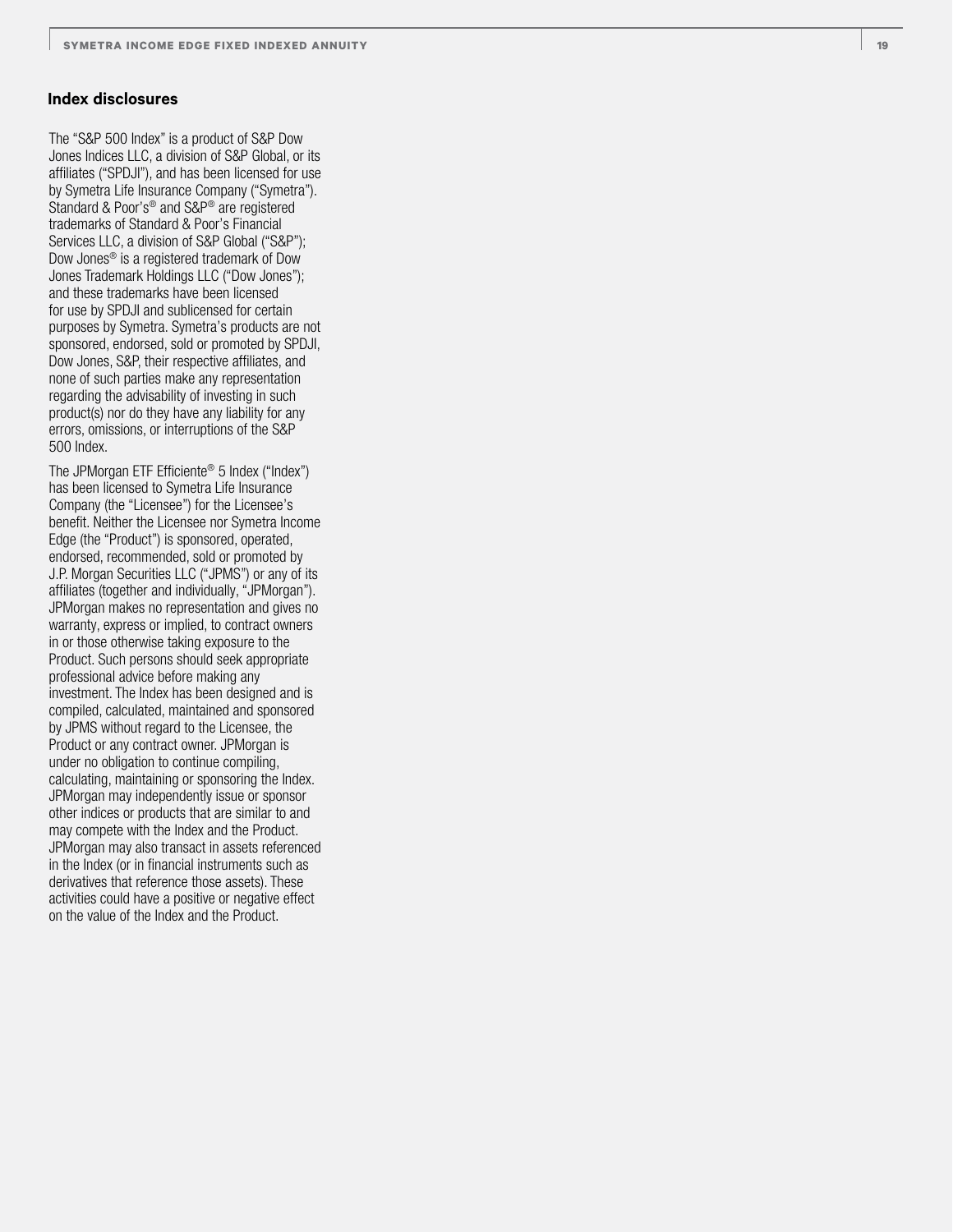#### **Index disclosures**

The "S&P 500 Index" is a product of S&P Dow Jones Indices LLC, a division of S&P Global, or its affiliates ("SPDJI"), and has been licensed for use by Symetra Life Insurance Company ("Symetra"). Standard & Poor's ® and S&P ® are registered trademarks of Standard & Poor's Financial Services LLC, a division of S&P Global ("S&P"); Dow Jones ® is a registered trademark of Dow Jones Trademark Holdings LLC ("Dow Jones"); and these trademarks have been licensed for use by SPDJI and sublicensed for certain purposes by Symetra. Symetra's products are not sponsored, endorsed, sold or promoted by SPDJI, Dow Jones, S&P, their respective affiliates, and none of such parties make any representation regarding the advisability of investing in such product(s) nor do they have any liability for any errors, omissions, or interruptions of the S&P 500 Index.

The JPMorgan ETF Efficiente ® 5 Index ("Index") has been licensed to Symetra Life Insurance Company (the "Licensee") for the Licensee's benefit. Neither the Licensee nor Symetra Income Edge (the "Product") is sponsored, operated, endorsed, recommended, sold or promoted by J.P. Morgan Securities LLC ("JPMS") or any of its affiliates (together and individually, "JPMorgan"). JPMorgan makes no representation and gives no warranty, express or implied, to contract owners in or those otherwise taking exposure to the Product. Such persons should seek appropriate professional advice before making any investment. The Index has been designed and is compiled, calculated, maintained and sponsored by JPMS without regard to the Licensee, the Product or any contract owner. JPMorgan is under no obligation to continue compiling, calculating, maintaining or sponsoring the Index. JPMorgan may independently issue or sponsor other indices or products that are similar to and may compete with the Index and the Product. JPMorgan may also transact in assets referenced in the Index (or in financial instruments such as derivatives that reference those assets). These activities could have a positive or negative effect on the value of the Index and the Product.